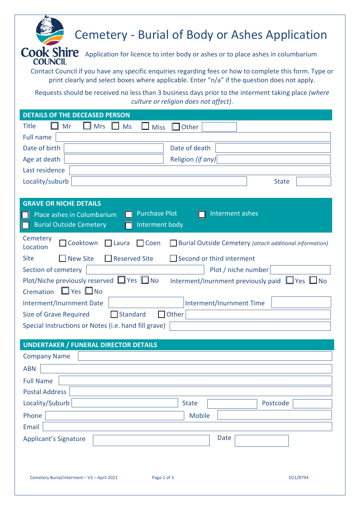## Cemetery - Burial of Body or Ashes Application

**COUNCIL** 

Cook Shire Application for licence to inter body or ashes or to place ashes in columbarium

Contact Council if you have any specific enquiries regarding fees or how to complete this form. Type or print clearly and select boxes where applicable. Enter "n/a" if the question does not apply.

Requests should be received no less than 3 business days prior to the interment taking place *(where culture or religion does not affect)*.

| <b>DETAILS OF THE DECEASED PERSON</b>                                                                                      |  |  |  |  |  |  |
|----------------------------------------------------------------------------------------------------------------------------|--|--|--|--|--|--|
| $\blacksquare$ Mrs<br><b>Title</b><br>Mr<br><b>Ms</b><br><b>Miss</b><br>Other                                              |  |  |  |  |  |  |
| <b>Full name</b>                                                                                                           |  |  |  |  |  |  |
| Date of birth<br>Date of death                                                                                             |  |  |  |  |  |  |
| Age at death<br>Religion (if any)                                                                                          |  |  |  |  |  |  |
| Last residence                                                                                                             |  |  |  |  |  |  |
| Locality/suburb<br><b>State</b>                                                                                            |  |  |  |  |  |  |
|                                                                                                                            |  |  |  |  |  |  |
| <b>GRAVE OR NICHE DETAILS</b>                                                                                              |  |  |  |  |  |  |
| <b>Purchase Plot</b><br>Interment ashes<br>Place ashes in Columbarium                                                      |  |  |  |  |  |  |
| <b>Burial Outside Cemetery</b><br>Interment body                                                                           |  |  |  |  |  |  |
| Cemetery<br>Cooktown<br>Coen<br><b>Laura</b><br><b>Burial Outside Cemetery (attach additional information)</b><br>Location |  |  |  |  |  |  |
| <b>Site</b><br><b>New Site</b><br><b>Reserved Site</b><br>Second or third interment                                        |  |  |  |  |  |  |
| Section of cemetery<br>Plot / niche number                                                                                 |  |  |  |  |  |  |
| Plot/Niche previously reserved ■ Yes ■ No<br>Interment/Inurnment previously paid $\Box$ Yes $\Box$ No                      |  |  |  |  |  |  |
| $\Box$ Yes $\Box$ No<br>Cremation                                                                                          |  |  |  |  |  |  |
| Interment/Inurnment Date<br>Interment/Inurnment Time                                                                       |  |  |  |  |  |  |
| Other<br>Standard<br>Size of Grave Required<br>$\mathsf{L}$                                                                |  |  |  |  |  |  |
| Special Instructions or Notes (i.e. hand fill grave)                                                                       |  |  |  |  |  |  |
|                                                                                                                            |  |  |  |  |  |  |
| <b>UNDERTAKER / FUNERAL DIRECTOR DETAILS</b>                                                                               |  |  |  |  |  |  |
| <b>Company Name</b>                                                                                                        |  |  |  |  |  |  |
| <b>ABN</b>                                                                                                                 |  |  |  |  |  |  |
| <b>Full Name</b>                                                                                                           |  |  |  |  |  |  |
| <b>Postal Address</b>                                                                                                      |  |  |  |  |  |  |
| Locality/Suburb<br><b>State</b><br>Postcode                                                                                |  |  |  |  |  |  |
| Phone<br><b>Mobile</b>                                                                                                     |  |  |  |  |  |  |
| <b>Email</b>                                                                                                               |  |  |  |  |  |  |
| Date<br><b>Applicant's Signature</b>                                                                                       |  |  |  |  |  |  |
|                                                                                                                            |  |  |  |  |  |  |
|                                                                                                                            |  |  |  |  |  |  |
| Cemetery Burial/interment - V3 - April 2021<br>Page 1 of 3<br>D21/8794                                                     |  |  |  |  |  |  |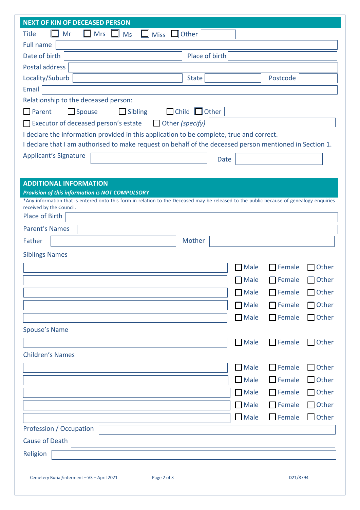| <b>NEXT OF KIN OF DECEASED PERSON</b>                                                                                                    |             |               |                 |  |  |  |  |
|------------------------------------------------------------------------------------------------------------------------------------------|-------------|---------------|-----------------|--|--|--|--|
| <b>Title</b><br>Mr<br><b>Mrs</b><br>$\Box$ Other<br>Ms<br><b>Miss</b>                                                                    |             |               |                 |  |  |  |  |
| <b>Full name</b>                                                                                                                         |             |               |                 |  |  |  |  |
| Date of birth<br>Place of birth                                                                                                          |             |               |                 |  |  |  |  |
| <b>Postal address</b>                                                                                                                    |             |               |                 |  |  |  |  |
| Locality/Suburb<br><b>State</b>                                                                                                          |             | Postcode      |                 |  |  |  |  |
| Email                                                                                                                                    |             |               |                 |  |  |  |  |
| Relationship to the deceased person:                                                                                                     |             |               |                 |  |  |  |  |
| Spouse<br>$\Box$ Child<br>$\Box$ Other<br>Parent<br><b>Sibling</b>                                                                       |             |               |                 |  |  |  |  |
| Executor of deceased person's estate<br>Other (specify)                                                                                  |             |               |                 |  |  |  |  |
| I declare the information provided in this application to be complete, true and correct.                                                 |             |               |                 |  |  |  |  |
| I declare that I am authorised to make request on behalf of the deceased person mentioned in Section 1.                                  |             |               |                 |  |  |  |  |
| <b>Applicant's Signature</b><br><b>Date</b>                                                                                              |             |               |                 |  |  |  |  |
|                                                                                                                                          |             |               |                 |  |  |  |  |
| <b>ADDITIONAL INFORMATION</b>                                                                                                            |             |               |                 |  |  |  |  |
| <b>Provision of this information is NOT COMPULSORY</b>                                                                                   |             |               |                 |  |  |  |  |
| *Any information that is entered onto this form in relation to the Deceased may be released to the public because of genealogy enquiries |             |               |                 |  |  |  |  |
| received by the Council.<br>Place of Birth                                                                                               |             |               |                 |  |  |  |  |
| <b>Parent's Names</b>                                                                                                                    |             |               |                 |  |  |  |  |
|                                                                                                                                          |             |               |                 |  |  |  |  |
| Mother<br>Father                                                                                                                         |             |               |                 |  |  |  |  |
| <b>Siblings Names</b>                                                                                                                    |             |               |                 |  |  |  |  |
|                                                                                                                                          | <b>Male</b> | Female        | Other           |  |  |  |  |
|                                                                                                                                          | Male        | Female        | Other           |  |  |  |  |
|                                                                                                                                          | $\Box$ Male | Female        | $\bigcap$ Other |  |  |  |  |
|                                                                                                                                          | Male        | Female        | $\bigcap$ Other |  |  |  |  |
|                                                                                                                                          | $\Box$ Male | Female        | $\Box$ Other    |  |  |  |  |
| Spouse's Name                                                                                                                            |             |               |                 |  |  |  |  |
|                                                                                                                                          |             |               |                 |  |  |  |  |
|                                                                                                                                          | $\Box$ Male | $\Box$ Female | $\Box$ Other    |  |  |  |  |
| <b>Children's Names</b>                                                                                                                  |             |               |                 |  |  |  |  |
|                                                                                                                                          | $\Box$ Male | $\Box$ Female | $\Box$ Other    |  |  |  |  |
|                                                                                                                                          | $\Box$ Male | $\Box$ Female | $\Box$ Other    |  |  |  |  |
|                                                                                                                                          | $\Box$ Male | $\Box$ Female | $\Box$ Other    |  |  |  |  |
|                                                                                                                                          | $\Box$ Male | Female        | $\Box$ Other    |  |  |  |  |
|                                                                                                                                          | $\Box$ Male | $\Box$ Female | $\Box$ Other    |  |  |  |  |
| Profession / Occupation                                                                                                                  |             |               |                 |  |  |  |  |
| Cause of Death                                                                                                                           |             |               |                 |  |  |  |  |
|                                                                                                                                          |             |               |                 |  |  |  |  |
| Religion                                                                                                                                 |             |               |                 |  |  |  |  |
|                                                                                                                                          |             |               |                 |  |  |  |  |
| Cemetery Burial/interment - V3 - April 2021<br>Page 2 of 3                                                                               |             | D21/8794      |                 |  |  |  |  |